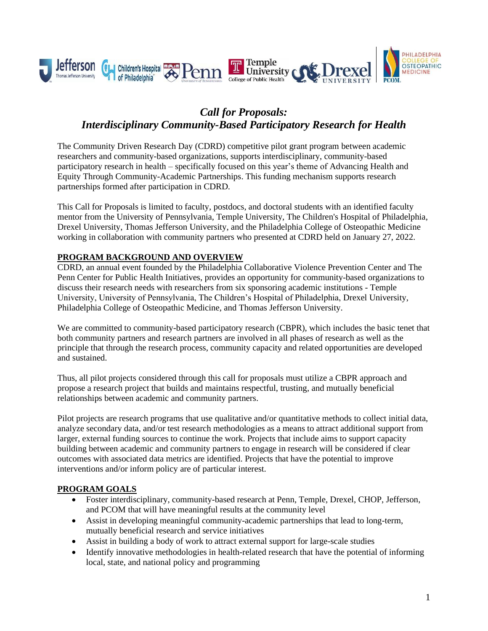

# *Call for Proposals: Interdisciplinary Community-Based Participatory Research for Health*

The Community Driven Research Day (CDRD) competitive pilot grant program between academic researchers and community-based organizations, supports interdisciplinary, community-based participatory research in health – specifically focused on this year's theme of Advancing Health and Equity Through Community-Academic Partnerships. This funding mechanism supports research partnerships formed after participation in CDRD.

This Call for Proposals is limited to faculty, postdocs, and doctoral students with an identified faculty mentor from the University of Pennsylvania, Temple University, The Children's Hospital of Philadelphia, Drexel University, Thomas Jefferson University, and the Philadelphia College of Osteopathic Medicine working in collaboration with community partners who presented at CDRD held on January 27, 2022.

### **PROGRAM BACKGROUND AND OVERVIEW**

CDRD, an annual event founded by the Philadelphia Collaborative Violence Prevention Center and The Penn Center for Public Health Initiatives, provides an opportunity for community-based organizations to discuss their research needs with researchers from six sponsoring academic institutions - Temple University, University of Pennsylvania, The Children's Hospital of Philadelphia, Drexel University, Philadelphia College of Osteopathic Medicine, and Thomas Jefferson University.

We are committed to community-based participatory research (CBPR), which includes the basic tenet that both community partners and research partners are involved in all phases of research as well as the principle that through the research process, community capacity and related opportunities are developed and sustained.

Thus, all pilot projects considered through this call for proposals must utilize a CBPR approach and propose a research project that builds and maintains respectful, trusting, and mutually beneficial relationships between academic and community partners.

Pilot projects are research programs that use qualitative and/or quantitative methods to collect initial data, analyze secondary data, and/or test research methodologies as a means to attract additional support from larger, external funding sources to continue the work. Projects that include aims to support capacity building between academic and community partners to engage in research will be considered if clear outcomes with associated data metrics are identified. Projects that have the potential to improve interventions and/or inform policy are of particular interest.

# **PROGRAM GOALS**

- Foster interdisciplinary, community-based research at Penn, Temple, Drexel, CHOP, Jefferson, and PCOM that will have meaningful results at the community level
- Assist in developing meaningful community-academic partnerships that lead to long-term, mutually beneficial research and service initiatives
- Assist in building a body of work to attract external support for large-scale studies
- Identify innovative methodologies in health-related research that have the potential of informing local, state, and national policy and programming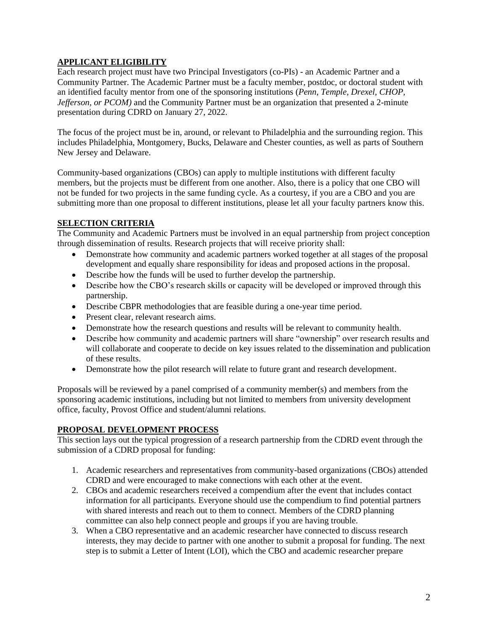# **APPLICANT ELIGIBILITY**

Each research project must have two Principal Investigators (co-PIs) - an Academic Partner and a Community Partner. The Academic Partner must be a faculty member, postdoc, or doctoral student with an identified faculty mentor from one of the sponsoring institutions (*Penn, Temple, Drexel, CHOP, Jefferson, or PCOM)* and the Community Partner must be an organization that presented a 2-minute presentation during CDRD on January 27, 2022.

The focus of the project must be in, around, or relevant to Philadelphia and the surrounding region. This includes Philadelphia, Montgomery, Bucks, Delaware and Chester counties, as well as parts of Southern New Jersey and Delaware.

Community-based organizations (CBOs) can apply to multiple institutions with different faculty members, but the projects must be different from one another. Also, there is a policy that one CBO will not be funded for two projects in the same funding cycle. As a courtesy, if you are a CBO and you are submitting more than one proposal to different institutions, please let all your faculty partners know this.

### **SELECTION CRITERIA**

The Community and Academic Partners must be involved in an equal partnership from project conception through dissemination of results. Research projects that will receive priority shall:

- Demonstrate how community and academic partners worked together at all stages of the proposal development and equally share responsibility for ideas and proposed actions in the proposal.
- Describe how the funds will be used to further develop the partnership.
- Describe how the CBO's research skills or capacity will be developed or improved through this partnership.
- Describe CBPR methodologies that are feasible during a one-year time period.
- Present clear, relevant research aims.
- Demonstrate how the research questions and results will be relevant to community health.
- Describe how community and academic partners will share "ownership" over research results and will collaborate and cooperate to decide on key issues related to the dissemination and publication of these results.
- Demonstrate how the pilot research will relate to future grant and research development.

Proposals will be reviewed by a panel comprised of a community member(s) and members from the sponsoring academic institutions, including but not limited to members from university development office, faculty, Provost Office and student/alumni relations.

# **PROPOSAL DEVELOPMENT PROCESS**

This section lays out the typical progression of a research partnership from the CDRD event through the submission of a CDRD proposal for funding:

- 1. Academic researchers and representatives from community-based organizations (CBOs) attended CDRD and were encouraged to make connections with each other at the event.
- 2. CBOs and academic researchers received a compendium after the event that includes contact information for all participants. Everyone should use the compendium to find potential partners with shared interests and reach out to them to connect. Members of the CDRD planning committee can also help connect people and groups if you are having trouble.
- 3. When a CBO representative and an academic researcher have connected to discuss research interests, they may decide to partner with one another to submit a proposal for funding. The next step is to submit a Letter of Intent (LOI), which the CBO and academic researcher prepare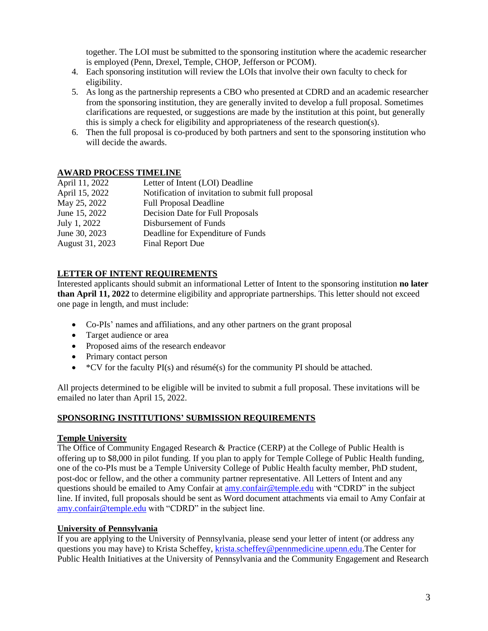together. The LOI must be submitted to the sponsoring institution where the academic researcher is employed (Penn, Drexel, Temple, CHOP, Jefferson or PCOM).

- 4. Each sponsoring institution will review the LOIs that involve their own faculty to check for eligibility.
- 5. As long as the partnership represents a CBO who presented at CDRD and an academic researcher from the sponsoring institution, they are generally invited to develop a full proposal. Sometimes clarifications are requested, or suggestions are made by the institution at this point, but generally this is simply a check for eligibility and appropriateness of the research question(s).
- 6. Then the full proposal is co-produced by both partners and sent to the sponsoring institution who will decide the awards.

# **AWARD PROCESS TIMELINE**

| April 11, 2022  | Letter of Intent (LOI) Deadline                    |
|-----------------|----------------------------------------------------|
| April 15, 2022  | Notification of invitation to submit full proposal |
| May 25, 2022    | <b>Full Proposal Deadline</b>                      |
| June 15, 2022   | Decision Date for Full Proposals                   |
| July 1, 2022    | Disbursement of Funds                              |
| June 30, 2023   | Deadline for Expenditure of Funds                  |
| August 31, 2023 | <b>Final Report Due</b>                            |

# **LETTER OF INTENT REQUIREMENTS**

Interested applicants should submit an informational Letter of Intent to the sponsoring institution **no later than April 11, 2022** to determine eligibility and appropriate partnerships. This letter should not exceed one page in length, and must include:

- Co-PIs' names and affiliations, and any other partners on the grant proposal
- Target audience or area
- Proposed aims of the research endeavor
- Primary contact person
- $\star$  CV for the faculty PI(s) and résumé(s) for the community PI should be attached.

All projects determined to be eligible will be invited to submit a full proposal. These invitations will be emailed no later than April 15, 2022.

#### **SPONSORING INSTITUTIONS' SUBMISSION REQUIREMENTS**

#### **Temple University**

The Office of Community Engaged Research & Practice (CERP) at the College of Public Health is offering up to \$8,000 in pilot funding. If you plan to apply for Temple College of Public Health funding, one of the co-PIs must be a Temple University College of Public Health faculty member, PhD student, post-doc or fellow, and the other a community partner representative. All Letters of Intent and any questions should be emailed to Amy Confair at [amy.confair@temple.edu](mailto:amy.confair@temple.edu) with "CDRD" in the subject line. If invited, full proposals should be sent as Word document attachments via email to Amy Confair at [amy.confair@temple.edu](mailto:amy.confair@temple.edu) with "CDRD" in the subject line.

#### **University of Pennsylvania**

If you are applying to the University of Pennsylvania, please send your letter of intent (or address any questions you may have) to Krista Scheffey, [krista.scheffey@pennmedicine.upenn.edu.](mailto:krista.scheffey@pennmedicine.upenn.edu)The Center for Public Health Initiatives at the University of Pennsylvania and the Community Engagement and Research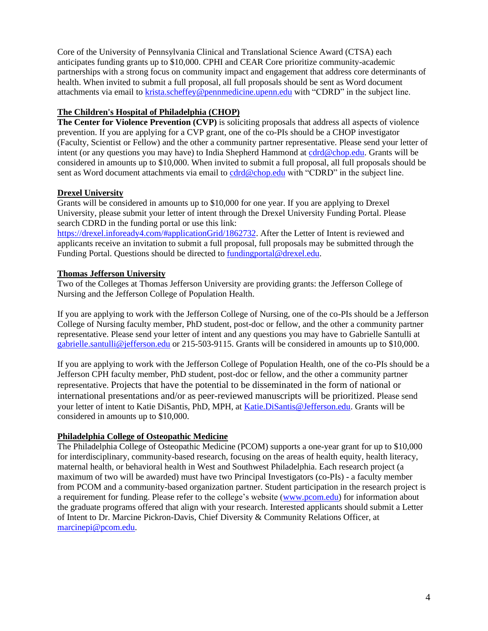Core of the University of Pennsylvania Clinical and Translational Science Award (CTSA) each anticipates funding grants up to \$10,000. CPHI and CEAR Core prioritize community-academic partnerships with a strong focus on community impact and engagement that address core determinants of health. When invited to submit a full proposal, all full proposals should be sent as Word document attachments via email to [krista.scheffey@pennmedicine.upenn.edu](mailto:krista.scheffey@pennmedicine.upenn.edu) with "CDRD" in the subject line.

# **The Children's Hospital of Philadelphia (CHOP)**

**The Center for Violence Prevention (CVP)** is soliciting proposals that address all aspects of violence prevention. If you are applying for a CVP grant, one of the co-PIs should be a CHOP investigator (Faculty, Scientist or Fellow) and the other a community partner representative. Please send your letter of intent (or any questions you may have) to India Shepherd Hammond at [cdrd@chop.edu.](mailto:cdrd@chop.edu) Grants will be considered in amounts up to \$10,000. When invited to submit a full proposal, all full proposals should be sent as Word document attachments via email to [cdrd@chop.edu](mailto:cdrd@chop.edu) with "CDRD" in the subject line.

# **Drexel University**

Grants will be considered in amounts up to \$10,000 for one year. If you are applying to Drexel University, please submit your letter of intent through the Drexel University Funding Portal. Please search CDRD in the funding portal or use this link:

[https://drexel.infoready4.com/#applicationGrid/1862732.](https://nam10.safelinks.protection.outlook.com/?url=https%3A%2F%2Fdrexel.infoready4.com%2F%23applicationGrid%2F1862732&data=04%7C01%7Camy.confair%40temple.edu%7C6f10ef73987841a5aa5f08d9e69aef3e%7C716e81efb52244738e3110bd02ccf6e5%7C0%7C0%7C637794375385872119%7CUnknown%7CTWFpbGZsb3d8eyJWIjoiMC4wLjAwMDAiLCJQIjoiV2luMzIiLCJBTiI6Ik1haWwiLCJXVCI6Mn0%3D%7C3000&sdata=jRkTGqS0MRMV9Sa11YRI%2BYKZKFxj8AuFe1t4994DNC0%3D&reserved=0) After the Letter of Intent is reviewed and applicants receive an invitation to submit a full proposal, full proposals may be submitted through the Funding Portal. Questions should be directed t[o fundingportal@drexel.edu.](mailto:fundingportal@drexel.edu)

### **Thomas Jefferson University**

Two of the Colleges at Thomas Jefferson University are providing grants: the Jefferson College of Nursing and the Jefferson College of Population Health.

If you are applying to work with the Jefferson College of Nursing, one of the co-PIs should be a Jefferson College of Nursing faculty member, PhD student, post-doc or fellow, and the other a community partner representative. Please send your letter of intent and any questions you may have to Gabrielle Santulli at [gabrielle.santulli@jefferson.edu](mailto:gabrielle.santulli@jefferson.edu) or 215-503-9115. Grants will be considered in amounts up to \$10,000.

If you are applying to work with the Jefferson College of Population Health, one of the co-PIs should be a Jefferson CPH faculty member, PhD student, post-doc or fellow, and the other a community partner representative. Projects that have the potential to be disseminated in the form of national or international presentations and/or as peer-reviewed manuscripts will be prioritized. Please send your letter of intent to Katie DiSantis, PhD, MPH, at [Katie.DiSantis@Jefferson.edu.](mailto:Katie.DiSantis@Jefferson.edu) Grants will be considered in amounts up to \$10,000.

#### **Philadelphia College of Osteopathic Medicine**

The Philadelphia College of Osteopathic Medicine (PCOM) supports a one-year grant for up to \$10,000 for interdisciplinary, community-based research, focusing on the areas of health equity, health literacy, maternal health, or behavioral health in West and Southwest Philadelphia. Each research project (a maximum of two will be awarded) must have two Principal Investigators (co-PIs) - a faculty member from PCOM and a community-based organization partner. Student participation in the research project is a requirement for funding. Please refer to the college's website [\(www.pcom.edu\)](http://www.pcom.edu/) for information about the graduate programs offered that align with your research. Interested applicants should submit a Letter of Intent to Dr. Marcine Pickron-Davis, Chief Diversity & Community Relations Officer, at [marcinepi@pcom.edu.](mailto:marcinepi@pcom.edu)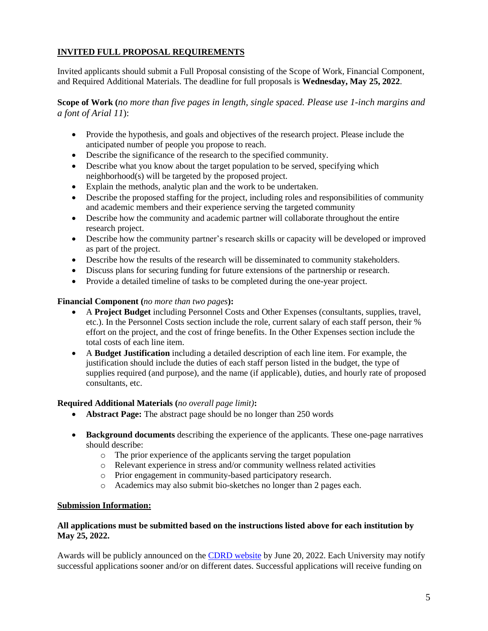# **INVITED FULL PROPOSAL REQUIREMENTS**

Invited applicants should submit a Full Proposal consisting of the Scope of Work, Financial Component, and Required Additional Materials. The deadline for full proposals is **Wednesday, May 25, 2022**.

**Scope of Work (***no more than five pages in length, single spaced. Please use 1-inch margins and a font of Arial 11*):

- Provide the hypothesis, and goals and objectives of the research project. Please include the anticipated number of people you propose to reach.
- Describe the significance of the research to the specified community.
- Describe what you know about the target population to be served, specifying which neighborhood(s) will be targeted by the proposed project.
- Explain the methods, analytic plan and the work to be undertaken.
- Describe the proposed staffing for the project, including roles and responsibilities of community and academic members and their experience serving the targeted community
- Describe how the community and academic partner will collaborate throughout the entire research project.
- Describe how the community partner's research skills or capacity will be developed or improved as part of the project.
- Describe how the results of the research will be disseminated to community stakeholders.
- Discuss plans for securing funding for future extensions of the partnership or research.
- Provide a detailed timeline of tasks to be completed during the one-year project.

#### **Financial Component (***no more than two pages***):**

- A **Project Budget** including Personnel Costs and Other Expenses (consultants, supplies, travel, etc.). In the Personnel Costs section include the role, current salary of each staff person, their % effort on the project, and the cost of fringe benefits. In the Other Expenses section include the total costs of each line item.
- A **Budget Justification** including a detailed description of each line item. For example, the justification should include the duties of each staff person listed in the budget, the type of supplies required (and purpose), and the name (if applicable), duties, and hourly rate of proposed consultants, etc.

#### **Required Additional Materials (***no overall page limit)***:**

- **Abstract Page:** The abstract page should be no longer than 250 words
- **Background documents** describing the experience of the applicants. These one-page narratives should describe:
	- o The prior experience of the applicants serving the target population
	- o Relevant experience in stress and/or community wellness related activities
	- o Prior engagement in community-based participatory research.
	- o Academics may also submit bio-sketches no longer than 2 pages each.

#### **Submission Information:**

#### **All applications must be submitted based on the instructions listed above for each institution by May 25, 2022.**

Awards will be publicly announced on the [CDRD website](https://violence.chop.edu/community-driven-research-day) by June 20, 2022. Each University may notify successful applications sooner and/or on different dates. Successful applications will receive funding on